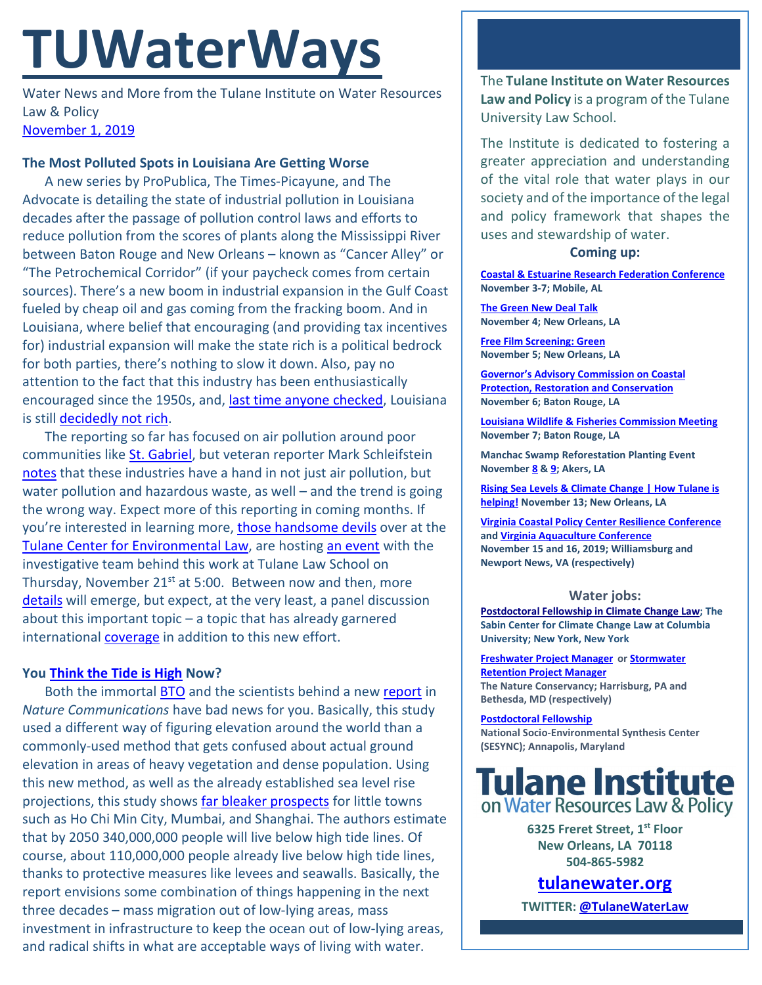# **TUWaterWays**

Water News and More from the Tulane Institute on Water Resources Law & Policy [November 1, 2019](https://thisdayinwaterhistory.wordpress.com/)

## **The Most Polluted Spots in Louisiana Are Getting Worse**

A new series by ProPublica, The Times-Picayune, and The Advocate is detailing the state of industrial pollution in Louisiana decades after the passage of pollution control laws and efforts to reduce pollution from the scores of plants along the Mississippi River between Baton Rouge and New Orleans – known as "Cancer Alley" or "The Petrochemical Corridor" (if your paycheck comes from certain sources). There's a new boom in industrial expansion in the Gulf Coast fueled by cheap oil and gas coming from the fracking boom. And in Louisiana, where belief that encouraging (and providing tax incentives for) industrial expansion will make the state rich is a political bedrock for both parties, there's nothing to slow it down. Also, pay no attention to the fact that this industry has been enthusiastically encouraged since the 1950s, and, [last time anyone checked,](https://en.wikipedia.org/wiki/List_of_U.S._states_and_territories_by_income) Louisiana is still [decidedly not rich.](https://www.youtube.com/watch?v=fRF24LY5pvw)

The reporting so far has focused on air pollution around poor communities lik[e St. Gabriel,](https://www.propublica.org/article/welcome-to-cancer-alley-where-toxic-air-is-about-to-get-worse) but veteran reporter Mark Schleifstein [notes](https://www.propublica.org/article/ive-investigated-industrial-pollution-for-35-years-were-going-backwards) that these industries have a hand in not just air pollution, but water pollution and hazardous waste, as well – and the trend is going the wrong way. Expect more of this reporting in coming months. If you're interested in learning more, [those handsome devils](https://law.tulane.edu/centers/environment/people) over at the [Tulane Center for Environmental Law,](https://law.tulane.edu/centers/environment/) are hosting [an event](https://law.tulane.edu/content/propublica-investigating-justice-series) with the investigative team behind this work at Tulane Law School on Thursday, November  $21^{st}$  at 5:00. Between now and then, more [details](https://youtu.be/QgT0WhguhaQ?t=35) will emerge, but expect, at the very least, a panel discussion about this important topic – a topic that has already garnered international [coverage](https://www.theguardian.com/us-news/series/cancer-town) in addition to this new effort.

## **You [Think the Tide is High](https://www.youtube.com/watch?v=SQXqkiKXiHc) Now?**

Both the immortal [BTO](https://www.youtube.com/watch?v=99lyU5N--f8) and the scientists behind a new [report](https://www.nature.com/articles/s41467-019-12808-z) in *Nature Communications* have bad news for you. Basically, this study used a different way of figuring elevation around the world than a commonly-used method that gets confused about actual ground elevation in areas of heavy vegetation and dense population. Using this new method, as well as the already established sea level rise projections, this study shows [far bleaker prospects](https://www.nytimes.com/interactive/2019/10/29/climate/coastal-cities-underwater.html) for little towns such as Ho Chi Min City, Mumbai, and Shanghai. The authors estimate that by 2050 340,000,000 people will live below high tide lines. Of course, about 110,000,000 people already live below high tide lines, thanks to protective measures like levees and seawalls. Basically, the report envisions some combination of things happening in the next three decades – mass migration out of low-lying areas, mass investment in infrastructure to keep the ocean out of low-lying areas, and radical shifts in what are acceptable ways of living with water.

The **Tulane Institute on Water Resources Law and Policy** is a program of the Tulane University Law School.

The Institute is dedicated to fostering a greater appreciation and understanding of the vital role that water plays in our society and of the importance of the legal and policy framework that shapes the uses and stewardship of water.

### **Coming up:**

**Coastal & [Estuarine Research Federation Conference](https://www.cerf.science/cerf-2019) November 3-7; Mobile, AL**

**[The Green New Deal Talk](https://liberalarts.tulane.edu/events/green-new-deal-0) November 4; New Orleans, LA**

**[Free Film Screening: Green](https://www.facebook.com/events/372803896992083/?notif_t=event_calendar_create¬if_id=1572015150983717) November 5; New Orleans, LA**

**[Governor's Advisory Commission on Coastal](http://coastal.la.gov/calendar/)  [Protection, Restoration and Conservation](http://coastal.la.gov/calendar/) November 6; Baton Rouge, LA**

**[Louisiana Wildlife & Fisheries Commission Meeting](https://www.facebook.com/events/377208292844248/) November 7; Baton Rouge, LA**

**Manchac Swamp Reforestation Planting Event Novembe[r 8](https://www.eventbrite.com/e/crcls-manchac-swamp-reforestation-volunteer-planting-event-november-8th-2019-tickets-70057643297) [& 9;](https://www.eventbrite.com/e/crcls-manchac-swamp-reforestation-volunteer-planting-event-november-9th-2019-tickets-70059153815?aff=ebapi) Akers, LA**

**[Rising Sea Levels & Climate Change | How Tulane is](https://www.facebook.com/events/445552582728527/)  [helping!](https://www.facebook.com/events/445552582728527/) November 13; New Orleans, LA**

**[Virginia Coastal Policy Center Resilience Conference](https://www.eventbrite.com/e/vcpcs-7th-annual-conference-the-three-ps-of-resilience-tickets-66101478301) an[d Virginia Aquaculture Conference](http://www.vaaquacultureconference.com/) November 15 and 16, 2019; Williamsburg and Newport News, VA (respectively)**

#### **Water jobs:**

**[Postdoctoral Fellowship in Climate Change Law;](https://pa334.peopleadmin.com/postings/4257) The Sabin Center for Climate Change Law at Columbia University; New York, New York**

**[Freshwater Project Manager](https://www.joshswaterjobs.com/jobs/17900)** or **Stormwater [Retention Project Manager](https://www.joshswaterjobs.com/jobs/17899) The Nature Conservancy; Harrisburg, PA and Bethesda, MD (respectively)** 

**[Postdoctoral Fellowship](https://www.sesync.org/opportunities/research-fellowships-postdoctoral-fellowships/socio-environmental-immersion-1) National Socio-Environmental Synthesis Center (SESYNC); Annapolis, Maryland**



**6325 Freret Street, 1st Floor New Orleans, LA 70118 504-865-5982** 

**tulanewater.org**

**TWITTER[: @TulaneWaterLaw](http://www.twitter.com/TulaneWaterLaw)**